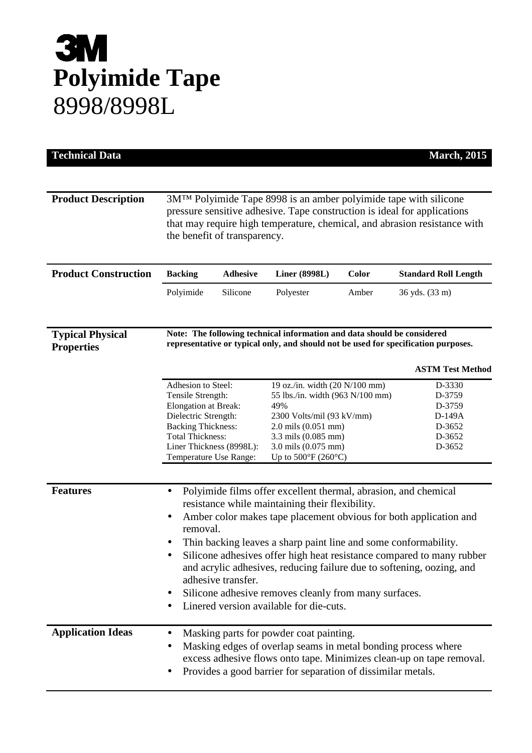## **3M Polyimide Tape**  8998/8998L

| <b>Technical Data</b>                        |                                                                                                                                                                                                                                                                                                                                                                                                                                                                                                                                                                                           |                 |                                                                                                                                                                                                                             |       | <b>March</b> , 2015                                                |  |
|----------------------------------------------|-------------------------------------------------------------------------------------------------------------------------------------------------------------------------------------------------------------------------------------------------------------------------------------------------------------------------------------------------------------------------------------------------------------------------------------------------------------------------------------------------------------------------------------------------------------------------------------------|-----------------|-----------------------------------------------------------------------------------------------------------------------------------------------------------------------------------------------------------------------------|-------|--------------------------------------------------------------------|--|
|                                              |                                                                                                                                                                                                                                                                                                                                                                                                                                                                                                                                                                                           |                 |                                                                                                                                                                                                                             |       |                                                                    |  |
| <b>Product Description</b>                   | 3M <sup>TM</sup> Polyimide Tape 8998 is an amber polyimide tape with silicone<br>pressure sensitive adhesive. Tape construction is ideal for applications<br>that may require high temperature, chemical, and abrasion resistance with<br>the benefit of transparency.                                                                                                                                                                                                                                                                                                                    |                 |                                                                                                                                                                                                                             |       |                                                                    |  |
| <b>Product Construction</b>                  | <b>Backing</b>                                                                                                                                                                                                                                                                                                                                                                                                                                                                                                                                                                            | <b>Adhesive</b> | <b>Liner (8998L)</b>                                                                                                                                                                                                        | Color | <b>Standard Roll Length</b>                                        |  |
|                                              | Polyimide                                                                                                                                                                                                                                                                                                                                                                                                                                                                                                                                                                                 | Silicone        | Polyester                                                                                                                                                                                                                   | Amber | 36 yds. (33 m)                                                     |  |
| <b>Typical Physical</b><br><b>Properties</b> | Note: The following technical information and data should be considered<br>representative or typical only, and should not be used for specification purposes.                                                                                                                                                                                                                                                                                                                                                                                                                             |                 |                                                                                                                                                                                                                             |       |                                                                    |  |
|                                              |                                                                                                                                                                                                                                                                                                                                                                                                                                                                                                                                                                                           |                 |                                                                                                                                                                                                                             |       | <b>ASTM Test Method</b>                                            |  |
|                                              | Adhesion to Steel:<br>Tensile Strength:<br>Elongation at Break:<br>Dielectric Strength:<br><b>Backing Thickness:</b><br><b>Total Thickness:</b><br>Liner Thickness (8998L):<br>Temperature Use Range:                                                                                                                                                                                                                                                                                                                                                                                     |                 | 19 oz./in. width (20 N/100 mm)<br>55 lbs./in. width (963 N/100 mm)<br>49%<br>2300 Volts/mil (93 kV/mm)<br>$2.0$ mils $(0.051$ mm)<br>3.3 mils (0.085 mm)<br>3.0 mils (0.075 mm)<br>Up to $500^{\circ}$ F (260 $^{\circ}$ C) |       | D-3330<br>D-3759<br>D-3759<br>D-149A<br>D-3652<br>D-3652<br>D-3652 |  |
| <b>Features</b>                              | Polyimide films offer excellent thermal, abrasion, and chemical<br>$\bullet$<br>resistance while maintaining their flexibility.<br>Amber color makes tape placement obvious for both application and<br>$\bullet$<br>removal.<br>Thin backing leaves a sharp paint line and some conformability.<br>Silicone adhesives offer high heat resistance compared to many rubber<br>and acrylic adhesives, reducing failure due to softening, oozing, and<br>adhesive transfer.<br>Silicone adhesive removes cleanly from many surfaces.<br>$\bullet$<br>Linered version available for die-cuts. |                 |                                                                                                                                                                                                                             |       |                                                                    |  |
| <b>Application Ideas</b>                     | Masking parts for powder coat painting.<br>$\bullet$<br>Masking edges of overlap seams in metal bonding process where<br>٠<br>excess adhesive flows onto tape. Minimizes clean-up on tape removal.<br>Provides a good barrier for separation of dissimilar metals.<br>٠                                                                                                                                                                                                                                                                                                                   |                 |                                                                                                                                                                                                                             |       |                                                                    |  |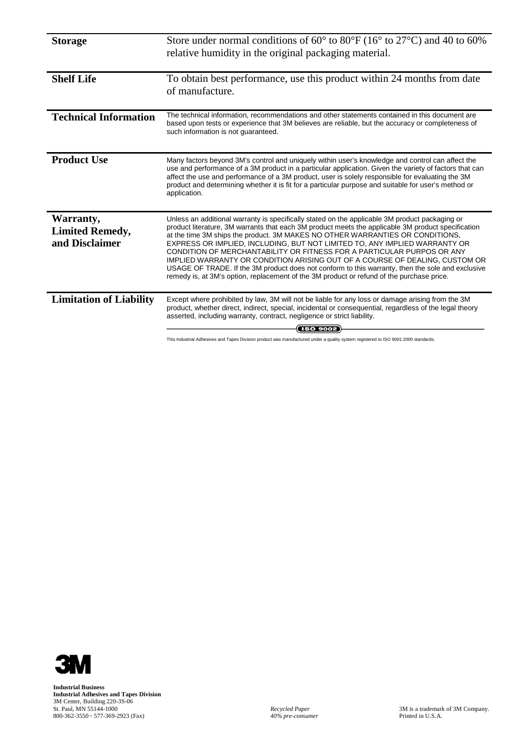| <b>Storage</b>                                        | Store under normal conditions of $60^{\circ}$ to $80^{\circ}$ F (16 <sup>°</sup> to 27 <sup>°</sup> C) and 40 to 60%<br>relative humidity in the original packaging material.                                                                                                                                                                                                                                                                                                                                                                                                                                                                                                                                                 |
|-------------------------------------------------------|-------------------------------------------------------------------------------------------------------------------------------------------------------------------------------------------------------------------------------------------------------------------------------------------------------------------------------------------------------------------------------------------------------------------------------------------------------------------------------------------------------------------------------------------------------------------------------------------------------------------------------------------------------------------------------------------------------------------------------|
| <b>Shelf Life</b>                                     | To obtain best performance, use this product within 24 months from date<br>of manufacture.                                                                                                                                                                                                                                                                                                                                                                                                                                                                                                                                                                                                                                    |
| <b>Technical Information</b>                          | The technical information, recommendations and other statements contained in this document are<br>based upon tests or experience that 3M believes are reliable, but the accuracy or completeness of<br>such information is not guaranteed.                                                                                                                                                                                                                                                                                                                                                                                                                                                                                    |
| <b>Product Use</b>                                    | Many factors beyond 3M's control and uniquely within user's knowledge and control can affect the<br>use and performance of a 3M product in a particular application. Given the variety of factors that can<br>affect the use and performance of a 3M product, user is solely responsible for evaluating the 3M<br>product and determining whether it is fit for a particular purpose and suitable for user's method or<br>application.                                                                                                                                                                                                                                                                                        |
| Warranty,<br><b>Limited Remedy,</b><br>and Disclaimer | Unless an additional warranty is specifically stated on the applicable 3M product packaging or<br>product literature, 3M warrants that each 3M product meets the applicable 3M product specification<br>at the time 3M ships the product. 3M MAKES NO OTHER WARRANTIES OR CONDITIONS,<br>EXPRESS OR IMPLIED, INCLUDING, BUT NOT LIMITED TO, ANY IMPLIED WARRANTY OR<br>CONDITION OF MERCHANTABILITY OR FITNESS FOR A PARTICULAR PURPOS OR ANY<br>IMPLIED WARRANTY OR CONDITION ARISING OUT OF A COURSE OF DEALING, CUSTOM OR<br>USAGE OF TRADE. If the 3M product does not conform to this warranty, then the sole and exclusive<br>remedy is, at 3M's option, replacement of the 3M product or refund of the purchase price. |
| <b>Limitation of Liability</b>                        | Except where prohibited by law, 3M will not be liable for any loss or damage arising from the 3M<br>product, whether direct, indirect, special, incidental or consequential, regardless of the legal theory<br>asserted, including warranty, contract, negligence or strict liability.<br><b>ISO 9002</b>                                                                                                                                                                                                                                                                                                                                                                                                                     |

This Industrial Adhesives and Tapes Division product was manufactured under a quality system registered to ISO 9001:2000 standards.



**Industrial Business Industrial Adhesives and Tapes Division**  3M Center, Building 220-3S-06 St. Paul, MN 55144-1000 *Recycled Paper* 3M is a trademark of 3M Company. 800-362-3550 **·** 577-369-2923 (Fax) *40% pre-consumer* Printed in U.S.A.